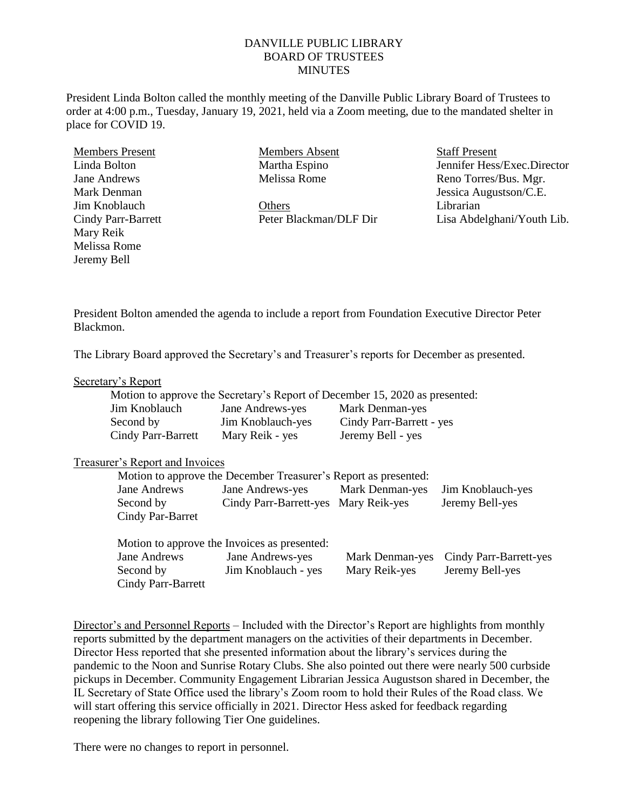# DANVILLE PUBLIC LIBRARY BOARD OF TRUSTEES **MINUTES**

President Linda Bolton called the monthly meeting of the Danville Public Library Board of Trustees to order at 4:00 p.m., Tuesday, January 19, 2021, held via a Zoom meeting, due to the mandated shelter in place for COVID 19.

Members Present Linda Bolton Jane Andrews Mark Denman Jim Knoblauch Cindy Parr-Barrett Mary Reik Melissa Rome Jeremy Bell

Members Absent Martha Espino Melissa Rome

**Others** Peter Blackman/DLF Dir Staff Present Jennifer Hess/Exec.Director Reno Torres/Bus. Mgr. Jessica Augustson/C.E. Librarian Lisa Abdelghani/Youth Lib.

President Bolton amended the agenda to include a report from Foundation Executive Director Peter Blackmon.

The Library Board approved the Secretary's and Treasurer's reports for December as presented.

### Secretary's Report

|                           |                   | Motion to approve the Secretary's Report of December 15, 2020 as presented: |
|---------------------------|-------------------|-----------------------------------------------------------------------------|
| Jim Knoblauch             | Jane Andrews-yes  | Mark Denman-yes                                                             |
| Second by                 | Jim Knoblauch-yes | Cindy Parr-Barrett - yes                                                    |
| <b>Cindy Parr-Barrett</b> | Mary Reik - yes   | Jeremy Bell - yes                                                           |

### Treasurer's Report and Invoices

|                    | Motion to approve the December Treasurer's Report as presented: |                 |                        |
|--------------------|-----------------------------------------------------------------|-----------------|------------------------|
| Jane Andrews       | Jane Andrews-yes                                                | Mark Denman-yes | Jim Knoblauch-yes      |
| Second by          | Cindy Parr-Barrett-yes Mary Reik-yes                            |                 | Jeremy Bell-yes        |
| Cindy Par-Barret   |                                                                 |                 |                        |
|                    |                                                                 |                 |                        |
|                    | Motion to approve the Invoices as presented:                    |                 |                        |
| Jane Andrews       | Jane Andrews-yes                                                | Mark Denman-yes | Cindy Parr-Barrett-yes |
| Second by          | Jim Knoblauch - yes                                             | Mary Reik-yes   | Jeremy Bell-yes        |
| Cindy Parr-Barrett |                                                                 |                 |                        |

Director's and Personnel Reports – Included with the Director's Report are highlights from monthly reports submitted by the department managers on the activities of their departments in December. Director Hess reported that she presented information about the library's services during the pandemic to the Noon and Sunrise Rotary Clubs. She also pointed out there were nearly 500 curbside pickups in December. Community Engagement Librarian Jessica Augustson shared in December, the IL Secretary of State Office used the library's Zoom room to hold their Rules of the Road class. We will start offering this service officially in 2021. Director Hess asked for feedback regarding reopening the library following Tier One guidelines.

There were no changes to report in personnel.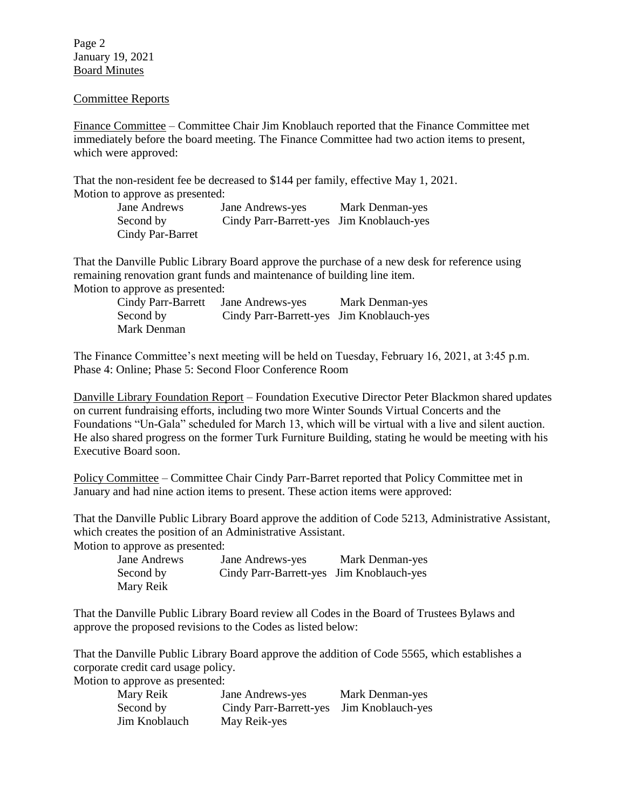Page 2 January 19, 2021 Board Minutes

### Committee Reports

Finance Committee – Committee Chair Jim Knoblauch reported that the Finance Committee met immediately before the board meeting. The Finance Committee had two action items to present, which were approved:

That the non-resident fee be decreased to \$144 per family, effective May 1, 2021. Motion to approve as presented:

> Jane Andrews Jane Andrews-yes Mark Denman-yes Second by Cindy Parr-Barrett-yes Jim Knoblauch-yes Cindy Par-Barret

That the Danville Public Library Board approve the purchase of a new desk for reference using remaining renovation grant funds and maintenance of building line item. Motion to approve as presented:

| Cindy Parr-Barrett | Jane Andrews-yes                         | Mark Denman-yes |
|--------------------|------------------------------------------|-----------------|
| Second by          | Cindy Parr-Barrett-yes Jim Knoblauch-yes |                 |
| Mark Denman        |                                          |                 |

The Finance Committee's next meeting will be held on Tuesday, February 16, 2021, at 3:45 p.m. Phase 4: Online; Phase 5: Second Floor Conference Room

Danville Library Foundation Report – Foundation Executive Director Peter Blackmon shared updates on current fundraising efforts, including two more Winter Sounds Virtual Concerts and the Foundations "Un-Gala" scheduled for March 13, which will be virtual with a live and silent auction. He also shared progress on the former Turk Furniture Building, stating he would be meeting with his Executive Board soon.

Policy Committee – Committee Chair Cindy Parr-Barret reported that Policy Committee met in January and had nine action items to present. These action items were approved:

That the Danville Public Library Board approve the addition of Code 5213, Administrative Assistant, which creates the position of an Administrative Assistant.

Motion to approve as presented:

| Jane Andrews | Jane Andrews-yes                         | Mark Denman-yes |
|--------------|------------------------------------------|-----------------|
| Second by    | Cindy Parr-Barrett-yes Jim Knoblauch-yes |                 |
| Mary Reik    |                                          |                 |

That the Danville Public Library Board review all Codes in the Board of Trustees Bylaws and approve the proposed revisions to the Codes as listed below:

That the Danville Public Library Board approve the addition of Code 5565, which establishes a corporate credit card usage policy.

Motion to approve as presented:

| Mary Reik     | Jane Andrews-yes                         | Mark Denman-yes |
|---------------|------------------------------------------|-----------------|
| Second by     | Cindy Parr-Barrett-yes Jim Knoblauch-yes |                 |
| Jim Knoblauch | May Reik-yes                             |                 |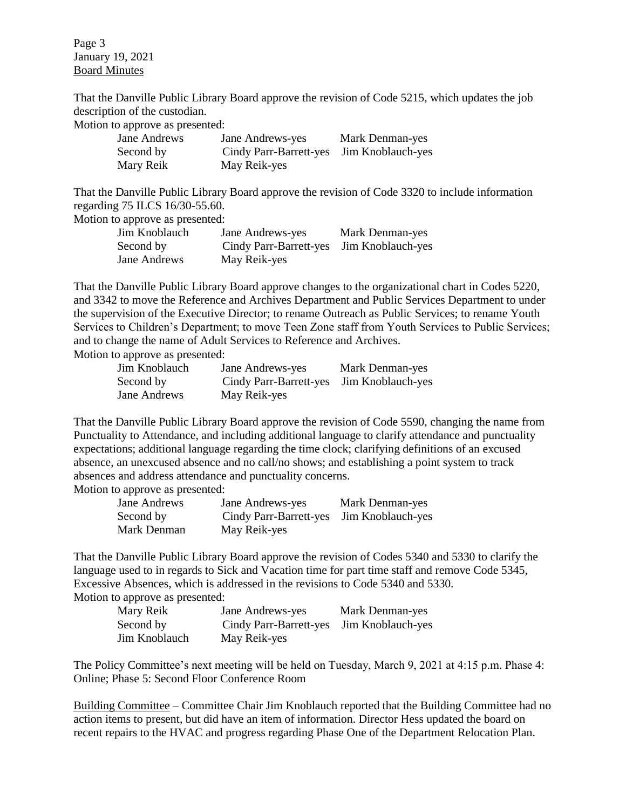Page 3 January 19, 2021 Board Minutes

That the Danville Public Library Board approve the revision of Code 5215, which updates the job description of the custodian.

Motion to approve as presented:

| Jane Andrews | Jane Andrews-yes                         | Mark Denman-yes |
|--------------|------------------------------------------|-----------------|
| Second by    | Cindy Parr-Barrett-yes Jim Knoblauch-yes |                 |
| Mary Reik    | May Reik-yes                             |                 |

That the Danville Public Library Board approve the revision of Code 3320 to include information regarding 75 ILCS 16/30-55.60.

Motion to approve as presented:

| Jim Knoblauch | Jane Andrews-yes                         | Mark Denman-yes |
|---------------|------------------------------------------|-----------------|
| Second by     | Cindy Parr-Barrett-yes Jim Knoblauch-yes |                 |
| Jane Andrews  | May Reik-yes                             |                 |

That the Danville Public Library Board approve changes to the organizational chart in Codes 5220, and 3342 to move the Reference and Archives Department and Public Services Department to under the supervision of the Executive Director; to rename Outreach as Public Services; to rename Youth Services to Children's Department; to move Teen Zone staff from Youth Services to Public Services; and to change the name of Adult Services to Reference and Archives.

Motion to approve as presented:

| Jim Knoblauch | Jane Andrews-yes                         | Mark Denman-yes |
|---------------|------------------------------------------|-----------------|
| Second by     | Cindy Parr-Barrett-yes Jim Knoblauch-yes |                 |
| Jane Andrews  | May Reik-yes                             |                 |

That the Danville Public Library Board approve the revision of Code 5590, changing the name from Punctuality to Attendance, and including additional language to clarify attendance and punctuality expectations; additional language regarding the time clock; clarifying definitions of an excused absence, an unexcused absence and no call/no shows; and establishing a point system to track absences and address attendance and punctuality concerns.

Motion to approve as presented:

| Jane Andrews | Jane Andrews-yes                         | Mark Denman-yes |
|--------------|------------------------------------------|-----------------|
| Second by    | Cindy Parr-Barrett-yes Jim Knoblauch-yes |                 |
| Mark Denman  | May Reik-yes                             |                 |

That the Danville Public Library Board approve the revision of Codes 5340 and 5330 to clarify the language used to in regards to Sick and Vacation time for part time staff and remove Code 5345, Excessive Absences, which is addressed in the revisions to Code 5340 and 5330. Motion to approve as presented:

| Mary Reik     | Jane Andrews-yes                         | Mark Denman-yes |
|---------------|------------------------------------------|-----------------|
| Second by     | Cindy Parr-Barrett-yes Jim Knoblauch-yes |                 |
| Jim Knoblauch | May Reik-yes                             |                 |

The Policy Committee's next meeting will be held on Tuesday, March 9, 2021 at 4:15 p.m. Phase 4: Online; Phase 5: Second Floor Conference Room

Building Committee – Committee Chair Jim Knoblauch reported that the Building Committee had no action items to present, but did have an item of information. Director Hess updated the board on recent repairs to the HVAC and progress regarding Phase One of the Department Relocation Plan.